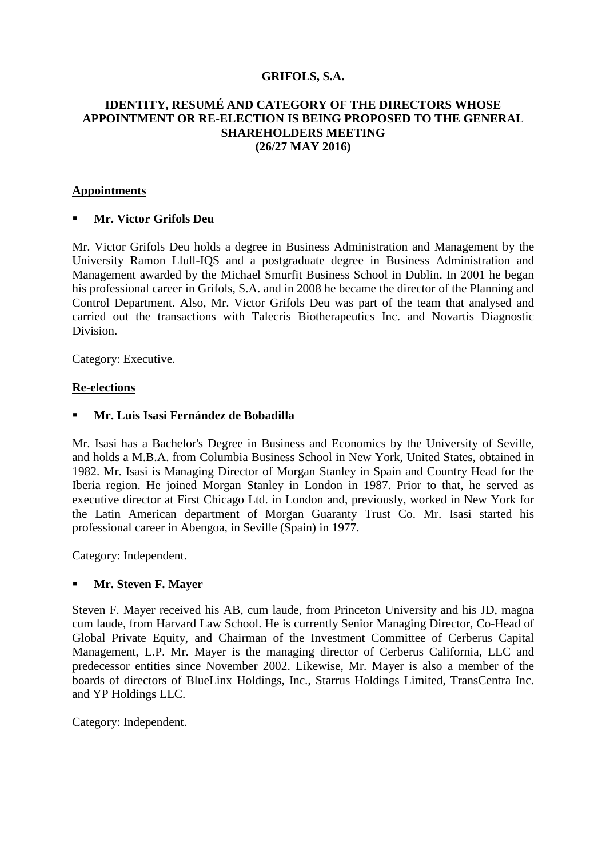# **GRIFOLS, S.A.**

# **IDENTITY, RESUMÉ AND CATEGORY OF THE DIRECTORS WHOSE APPOINTMENT OR RE-ELECTION IS BEING PROPOSED TO THE GENERAL SHAREHOLDERS MEETING (26/27 MAY 2016)**

## **Appointments**

# **Mr. Victor Grifols Deu**

Mr. Victor Grifols Deu holds a degree in Business Administration and Management by the University Ramon Llull-IQS and a postgraduate degree in Business Administration and Management awarded by the Michael Smurfit Business School in Dublin. In 2001 he began his professional career in Grifols, S.A. and in 2008 he became the director of the Planning and Control Department. Also, Mr. Victor Grifols Deu was part of the team that analysed and carried out the transactions with Talecris Biotherapeutics Inc. and Novartis Diagnostic Division.

Category: Executive.

#### **Re-elections**

#### **Mr. Luis Isasi Fernández de Bobadilla**

Mr. Isasi has a Bachelor's Degree in Business and Economics by the University of Seville, and holds a M.B.A. from Columbia Business School in New York, United States, obtained in 1982. Mr. Isasi is Managing Director of Morgan Stanley in Spain and Country Head for the Iberia region. He joined Morgan Stanley in London in 1987. Prior to that, he served as executive director at First Chicago Ltd. in London and, previously, worked in New York for the Latin American department of Morgan Guaranty Trust Co. Mr. Isasi started his professional career in Abengoa, in Seville (Spain) in 1977.

Category: Independent.

# **Mr. Steven F. Mayer**

Steven F. Mayer received his AB, cum laude, from Princeton University and his JD, magna cum laude, from Harvard Law School. He is currently Senior Managing Director, Co-Head of Global Private Equity, and Chairman of the Investment Committee of Cerberus Capital Management, L.P. Mr. Mayer is the managing director of Cerberus California, LLC and predecessor entities since November 2002. Likewise, Mr. Mayer is also a member of the boards of directors of BlueLinx Holdings, Inc., Starrus Holdings Limited, TransCentra Inc. and YP Holdings LLC.

Category: Independent.